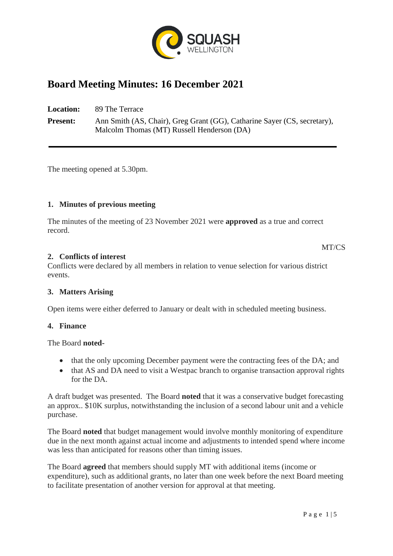

# **Board Meeting Minutes: 16 December 2021**

**Location:** 89 The Terrace **Present:** Ann Smith (AS, Chair), Greg Grant (GG), Catharine Sayer (CS, secretary), Malcolm Thomas (MT) Russell Henderson (DA)

The meeting opened at 5.30pm.

## **1. Minutes of previous meeting**

The minutes of the meeting of 23 November 2021 were **approved** as a true and correct record.

MT/CS

#### **2. Conflicts of interest**

Conflicts were declared by all members in relation to venue selection for various district events.

## **3. Matters Arising**

Open items were either deferred to January or dealt with in scheduled meeting business.

#### **4. Finance**

The Board **noted-**

- that the only upcoming December payment were the contracting fees of the DA; and
- that AS and DA need to visit a Westpac branch to organise transaction approval rights for the DA.

A draft budget was presented. The Board **noted** that it was a conservative budget forecasting an approx.. \$10K surplus, notwithstanding the inclusion of a second labour unit and a vehicle purchase.

The Board **noted** that budget management would involve monthly monitoring of expenditure due in the next month against actual income and adjustments to intended spend where income was less than anticipated for reasons other than timing issues.

The Board **agreed** that members should supply MT with additional items (income or expenditure), such as additional grants, no later than one week before the next Board meeting to facilitate presentation of another version for approval at that meeting.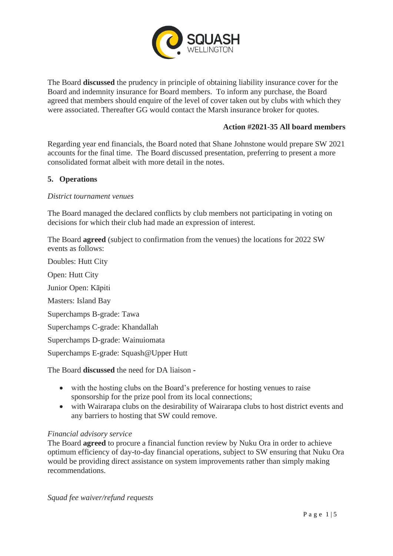

The Board **discussed** the prudency in principle of obtaining liability insurance cover for the Board and indemnity insurance for Board members. To inform any purchase, the Board agreed that members should enquire of the level of cover taken out by clubs with which they were associated. Thereafter GG would contact the Marsh insurance broker for quotes.

## **Action #2021-35 All board members**

Regarding year end financials, the Board noted that Shane Johnstone would prepare SW 2021 accounts for the final time. The Board discussed presentation, preferring to present a more consolidated format albeit with more detail in the notes.

## **5. Operations**

#### *District tournament venues*

The Board managed the declared conflicts by club members not participating in voting on decisions for which their club had made an expression of interest.

The Board **agreed** (subject to confirmation from the venues) the locations for 2022 SW events as follows:

Doubles: Hutt City Open: Hutt City Junior Open: Kāpiti Masters: Island Bay Superchamps B-grade: Tawa Superchamps C-grade: Khandallah Superchamps D-grade: Wainuiomata Superchamps E-grade: Squash@Upper Hutt

The Board **discussed** the need for DA liaison **-**

- with the hosting clubs on the Board's preference for hosting venues to raise sponsorship for the prize pool from its local connections;
- with Wairarapa clubs on the desirability of Wairarapa clubs to host district events and any barriers to hosting that SW could remove.

## *Financial advisory service*

The Board **agreed** to procure a financial function review by Nuku Ora in order to achieve optimum efficiency of day-to-day financial operations, subject to SW ensuring that Nuku Ora would be providing direct assistance on system improvements rather than simply making recommendations.

*Squad fee waiver/refund requests*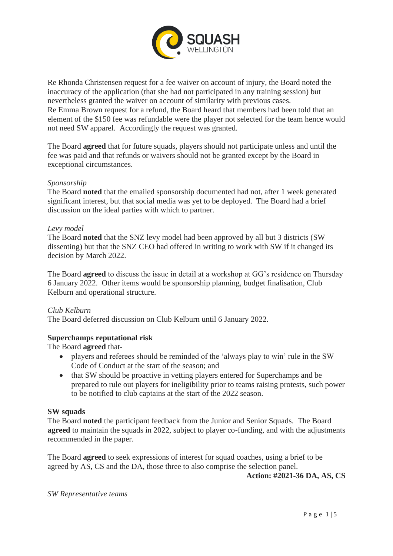

Re Rhonda Christensen request for a fee waiver on account of injury, the Board noted the inaccuracy of the application (that she had not participated in any training session) but nevertheless granted the waiver on account of similarity with previous cases. Re Emma Brown request for a refund, the Board heard that members had been told that an element of the \$150 fee was refundable were the player not selected for the team hence would not need SW apparel. Accordingly the request was granted.

The Board **agreed** that for future squads, players should not participate unless and until the fee was paid and that refunds or waivers should not be granted except by the Board in exceptional circumstances.

## *Sponsorship*

The Board **noted** that the emailed sponsorship documented had not, after 1 week generated significant interest, but that social media was yet to be deployed. The Board had a brief discussion on the ideal parties with which to partner.

## *Levy model*

The Board **noted** that the SNZ levy model had been approved by all but 3 districts (SW dissenting) but that the SNZ CEO had offered in writing to work with SW if it changed its decision by March 2022.

The Board **agreed** to discuss the issue in detail at a workshop at GG's residence on Thursday 6 January 2022. Other items would be sponsorship planning, budget finalisation, Club Kelburn and operational structure.

# *Club Kelburn*

The Board deferred discussion on Club Kelburn until 6 January 2022.

## **Superchamps reputational risk**

The Board **agreed** that-

- players and referees should be reminded of the 'always play to win' rule in the SW Code of Conduct at the start of the season; and
- that SW should be proactive in vetting players entered for Superchamps and be prepared to rule out players for ineligibility prior to teams raising protests, such power to be notified to club captains at the start of the 2022 season.

## **SW squads**

The Board **noted** the participant feedback from the Junior and Senior Squads. The Board **agreed** to maintain the squads in 2022, subject to player co-funding, and with the adjustments recommended in the paper.

The Board **agreed** to seek expressions of interest for squad coaches, using a brief to be agreed by AS, CS and the DA, those three to also comprise the selection panel.

**Action: #2021-36 DA, AS, CS**

*SW Representative teams*